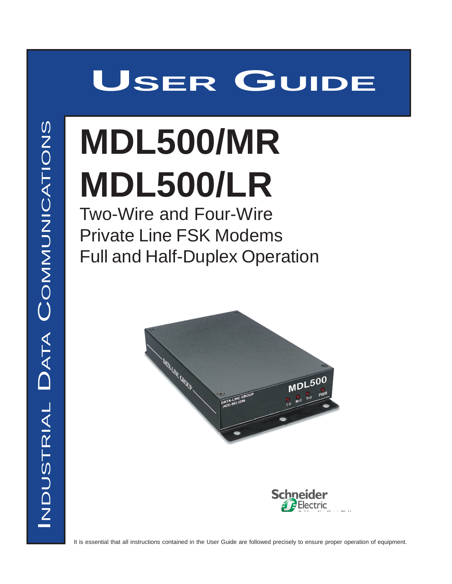# **USER GUIDE**

# **MDL500/MR MDL500/LR**

Two-Wire and Four-Wire Private Line FSK Modems Full and Half-Duplex Operation

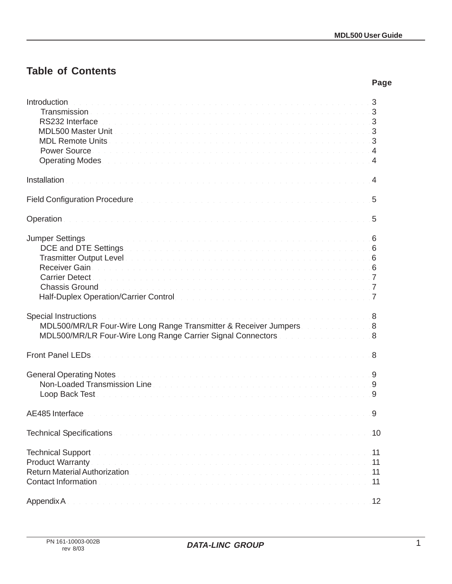**Page**

# **Table of Contents**

| <b>Introduction</b><br>. The second contract of the second contract of the second contract of the second $\bf{3}$<br>RS232 Interface the contract of the contract of the contract of the contract of the contract of the contract of the contract of the contract of the contract of the contract of the contract of the contract of the contract o<br>MDL500 Master Unit<br>Power Source business and a series of the contract of the contract of the contract of the contract of the contract of the contract of the contract of the contract of the contract of the contract of the contract of the cont<br>Operating Modes. The contract of the contract of the contract of the contract of the contract of the contract of                                                                                                                |    |
|------------------------------------------------------------------------------------------------------------------------------------------------------------------------------------------------------------------------------------------------------------------------------------------------------------------------------------------------------------------------------------------------------------------------------------------------------------------------------------------------------------------------------------------------------------------------------------------------------------------------------------------------------------------------------------------------------------------------------------------------------------------------------------------------------------------------------------------------|----|
| Installation with the company of the company of the company of the company of the company of the company of 4                                                                                                                                                                                                                                                                                                                                                                                                                                                                                                                                                                                                                                                                                                                                  |    |
| Field Configuration Procedure <b>Experience Activity</b> 1994 and 2001 and 2001 and 2001 and 2001 and 200                                                                                                                                                                                                                                                                                                                                                                                                                                                                                                                                                                                                                                                                                                                                      |    |
| Operation the contract of the contract of the contract of the contract of the contract of the contract of the contract of the contract of the contract of the contract of the contract of the contract of the contract of the                                                                                                                                                                                                                                                                                                                                                                                                                                                                                                                                                                                                                  |    |
| Jumper Settings. The community of the community of the community of the community of the community of $6$<br>DCE and DTE Settings <b>Example 20</b> in the setting of the setting of the setting of the setting of the setting of the setting of the setting of the setting of the setting of the setting of the setting of the setting of the s<br>Trasmitter Output Level <b>Experience International Contract Contract Contract Contract Contract Contract Contract Contract Contract Contract Contract Contract Contract Contract Contract Contract Contract Contract Contract C</b><br>Receiver Gain<br>Chassis Ground. The contract of the contract of the contract of the contract of the contract of the contract of<br>Half-Duplex Operation/Carrier Control entitled and the control of the control of the control of the control of |    |
| Special Instructions<br>MDL500/MR/LR Four-Wire Long Range Transmitter & Receiver Jumpers MDL500/MR/LR Four-Wire Long Range Transmitter<br>MDL500/MR/LR Four-Wire Long Range Carrier Signal Connectors Material Accounts 2014                                                                                                                                                                                                                                                                                                                                                                                                                                                                                                                                                                                                                   |    |
|                                                                                                                                                                                                                                                                                                                                                                                                                                                                                                                                                                                                                                                                                                                                                                                                                                                |    |
| General Operating Notes with a community of the community of the community of the community of the S<br>Non-Loaded Transmission Line <b>Constitution and Constitution Constitution</b> Constitution and Constitution Constitution Constitution Constitution Constitution Constitution Constitution Constitution Constitution Constitution C                                                                                                                                                                                                                                                                                                                                                                                                                                                                                                    |    |
|                                                                                                                                                                                                                                                                                                                                                                                                                                                                                                                                                                                                                                                                                                                                                                                                                                                |    |
| Technical Specifications and a construction of the construction of the construction of the construction of 10                                                                                                                                                                                                                                                                                                                                                                                                                                                                                                                                                                                                                                                                                                                                  |    |
| 11. Acturn Material Authorization, and a company of the company of the company of the company of the state of                                                                                                                                                                                                                                                                                                                                                                                                                                                                                                                                                                                                                                                                                                                                  |    |
|                                                                                                                                                                                                                                                                                                                                                                                                                                                                                                                                                                                                                                                                                                                                                                                                                                                | 12 |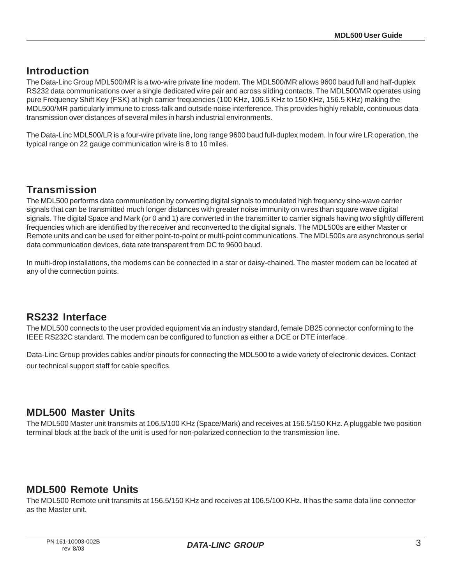#### **Introduction**

The Data-Linc Group MDL500/MR is a two-wire private line modem. The MDL500/MR allows 9600 baud full and half-duplex RS232 data communications over a single dedicated wire pair and across sliding contacts. The MDL500/MR operates using pure Frequency Shift Key (FSK) at high carrier frequencies (100 KHz, 106.5 KHz to 150 KHz, 156.5 KHz) making the MDL500/MR particularly immune to cross-talk and outside noise interference. This provides highly reliable, continuous data transmission over distances of several miles in harsh industrial environments.

The Data-Linc MDL500/LR is a four-wire private line, long range 9600 baud full-duplex modem. In four wire LR operation, the typical range on 22 gauge communication wire is 8 to 10 miles.

#### **Transmission**

The MDL500 performs data communication by converting digital signals to modulated high frequency sine-wave carrier signals that can be transmitted much longer distances with greater noise immunity on wires than square wave digital signals. The digital Space and Mark (or 0 and 1) are converted in the transmitter to carrier signals having two slightly different frequencies which are identified by the receiver and reconverted to the digital signals. The MDL500s are either Master or Remote units and can be used for either point-to-point or multi-point communications. The MDL500s are asynchronous serial data communication devices, data rate transparent from DC to 9600 baud.

In multi-drop installations, the modems can be connected in a star or daisy-chained. The master modem can be located at any of the connection points.

#### **RS232 Interface**

The MDL500 connects to the user provided equipment via an industry standard, female DB25 connector conforming to the IEEE RS232C standard. The modem can be configured to function as either a DCE or DTE interface.

Data-Linc Group provides cables and/or pinouts for connecting the MDL500 to a wide variety of electronic devices. Contact our technical support staff for cable specifics.

#### **MDL500 Master Units**

The MDL500 Master unit transmits at 106.5/100 KHz (Space/Mark) and receives at 156.5/150 KHz. A pluggable two position terminal block at the back of the unit is used for non-polarized connection to the transmission line.

#### **MDL500 Remote Units**

The MDL500 Remote unit transmits at 156.5/150 KHz and receives at 106.5/100 KHz. It has the same data line connector as the Master unit.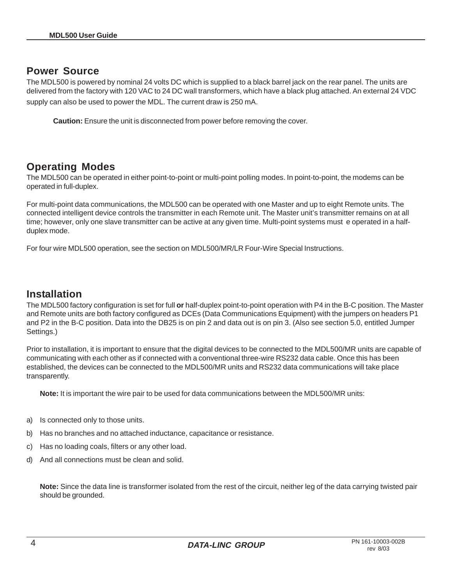#### **Power Source**

The MDL500 is powered by nominal 24 volts DC which is supplied to a black barrel jack on the rear panel. The units are delivered from the factory with 120 VAC to 24 DC wall transformers, which have a black plug attached. An external 24 VDC supply can also be used to power the MDL. The current draw is 250 mA.

**Caution:** Ensure the unit is disconnected from power before removing the cover.

#### **Operating Modes**

The MDL500 can be operated in either point-to-point or multi-point polling modes. In point-to-point, the modems can be operated in full-duplex.

For multi-point data communications, the MDL500 can be operated with one Master and up to eight Remote units. The connected intelligent device controls the transmitter in each Remote unit. The Master unit's transmitter remains on at all time; however, only one slave transmitter can be active at any given time. Multi-point systems must e operated in a halfduplex mode.

For four wire MDL500 operation, see the section on MDL500/MR/LR Four-Wire Special Instructions.

#### **Installation**

The MDL500 factory configuration is set for full **or** half-duplex point-to-point operation with P4 in the B-C position. The Master and Remote units are both factory configured as DCEs (Data Communications Equipment) with the jumpers on headers P1 and P2 in the B-C position. Data into the DB25 is on pin 2 and data out is on pin 3. (Also see section 5.0, entitled Jumper Settings.)

Prior to installation, it is important to ensure that the digital devices to be connected to the MDL500/MR units are capable of communicating with each other as if connected with a conventional three-wire RS232 data cable. Once this has been established, the devices can be connected to the MDL500/MR units and RS232 data communications will take place transparently.

**Note:** It is important the wire pair to be used for data communications between the MDL500/MR units:

- a) Is connected only to those units.
- b) Has no branches and no attached inductance, capacitance or resistance.
- c) Has no loading coals, filters or any other load.
- d) And all connections must be clean and solid.

**Note:** Since the data line is transformer isolated from the rest of the circuit, neither leg of the data carrying twisted pair should be grounded.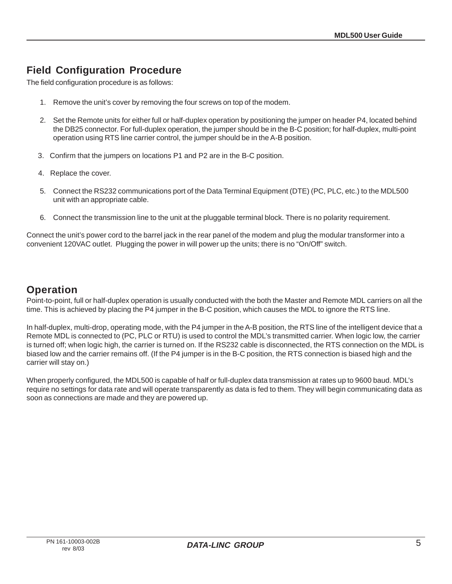## **Field Configuration Procedure**

The field configuration procedure is as follows:

- 1. Remove the unit's cover by removing the four screws on top of the modem.
- 2. Set the Remote units for either full or half-duplex operation by positioning the jumper on header P4, located behind the DB25 connector. For full-duplex operation, the jumper should be in the B-C position; for half-duplex, multi-point operation using RTS line carrier control, the jumper should be in the A-B position.
- 3. Confirm that the jumpers on locations P1 and P2 are in the B-C position.
- 4. Replace the cover.
- 5. Connect the RS232 communications port of the Data Terminal Equipment (DTE) (PC, PLC, etc.) to the MDL500 unit with an appropriate cable.
- 6. Connect the transmission line to the unit at the pluggable terminal block. There is no polarity requirement.

Connect the unit's power cord to the barrel jack in the rear panel of the modem and plug the modular transformer into a convenient 120VAC outlet. Plugging the power in will power up the units; there is no "On/Off" switch.

#### **Operation**

Point-to-point, full or half-duplex operation is usually conducted with the both the Master and Remote MDL carriers on all the time. This is achieved by placing the P4 jumper in the B-C position, which causes the MDL to ignore the RTS line.

In half-duplex, multi-drop, operating mode, with the P4 jumper in the A-B position, the RTS line of the intelligent device that a Remote MDL is connected to (PC, PLC or RTU) is used to control the MDL's transmitted carrier. When logic low, the carrier is turned off; when logic high, the carrier is turned on. If the RS232 cable is disconnected, the RTS connection on the MDL is biased low and the carrier remains off. (If the P4 jumper is in the B-C position, the RTS connection is biased high and the carrier will stay on.)

When properly configured, the MDL500 is capable of half or full-duplex data transmission at rates up to 9600 baud. MDL's require no settings for data rate and will operate transparently as data is fed to them. They will begin communicating data as soon as connections are made and they are powered up.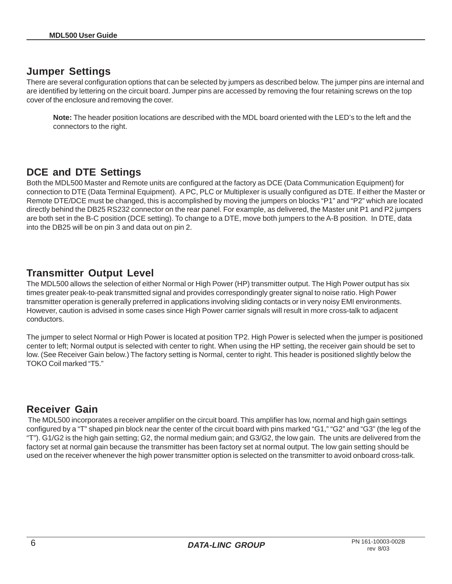#### **Jumper Settings**

There are several configuration options that can be selected by jumpers as described below. The jumper pins are internal and are identified by lettering on the circuit board. Jumper pins are accessed by removing the four retaining screws on the top cover of the enclosure and removing the cover.

**Note:** The header position locations are described with the MDL board oriented with the LED's to the left and the connectors to the right.

#### **DCE and DTE Settings**

Both the MDL500 Master and Remote units are configured at the factory as DCE (Data Communication Equipment) for connection to DTE (Data Terminal Equipment). A PC, PLC or Multiplexer is usually configured as DTE. If either the Master or Remote DTE/DCE must be changed, this is accomplished by moving the jumpers on blocks "P1" and "P2" which are located directly behind the DB25 RS232 connector on the rear panel. For example, as delivered, the Master unit P1 and P2 jumpers are both set in the B-C position (DCE setting). To change to a DTE, move both jumpers to the A-B position. In DTE, data into the DB25 will be on pin 3 and data out on pin 2.

#### **Transmitter Output Level**

The MDL500 allows the selection of either Normal or High Power (HP) transmitter output. The High Power output has six times greater peak-to-peak transmitted signal and provides correspondingly greater signal to noise ratio. High Power transmitter operation is generally preferred in applications involving sliding contacts or in very noisy EMI environments. However, caution is advised in some cases since High Power carrier signals will result in more cross-talk to adjacent conductors.

The jumper to select Normal or High Power is located at position TP2. High Power is selected when the jumper is positioned center to left; Normal output is selected with center to right. When using the HP setting, the receiver gain should be set to low. (See Receiver Gain below.) The factory setting is Normal, center to right. This header is positioned slightly below the TOKO Coil marked "T5."

#### **Receiver Gain**

 The MDL500 incorporates a receiver amplifier on the circuit board. This amplifier has low, normal and high gain settings configured by a "T" shaped pin block near the center of the circuit board with pins marked "G1," "G2" and "G3" (the leg of the "T"). G1/G2 is the high gain setting; G2, the normal medium gain; and G3/G2, the low gain. The units are delivered from the factory set at normal gain because the transmitter has been factory set at normal output. The low gain setting should be used on the receiver whenever the high power transmitter option is selected on the transmitter to avoid onboard cross-talk.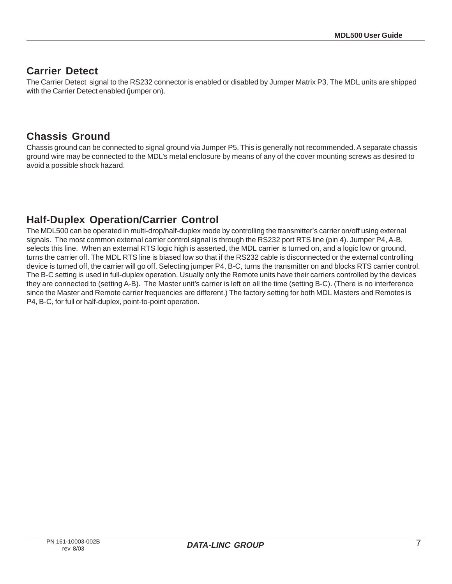#### **Carrier Detect**

The Carrier Detect signal to the RS232 connector is enabled or disabled by Jumper Matrix P3. The MDL units are shipped with the Carrier Detect enabled (jumper on).

#### **Chassis Ground**

Chassis ground can be connected to signal ground via Jumper P5. This is generally not recommended. A separate chassis ground wire may be connected to the MDL's metal enclosure by means of any of the cover mounting screws as desired to avoid a possible shock hazard.

# **Half-Duplex Operation/Carrier Control**

The MDL500 can be operated in multi-drop/half-duplex mode by controlling the transmitter's carrier on/off using external signals. The most common external carrier control signal is through the RS232 port RTS line (pin 4). Jumper P4, A-B, selects this line. When an external RTS logic high is asserted, the MDL carrier is turned on, and a logic low or ground, turns the carrier off. The MDL RTS line is biased low so that if the RS232 cable is disconnected or the external controlling device is turned off, the carrier will go off. Selecting jumper P4, B-C, turns the transmitter on and blocks RTS carrier control. The B-C setting is used in full-duplex operation. Usually only the Remote units have their carriers controlled by the devices they are connected to (setting A-B). The Master unit's carrier is left on all the time (setting B-C). (There is no interference since the Master and Remote carrier frequencies are different.) The factory setting for both MDL Masters and Remotes is P4, B-C, for full or half-duplex, point-to-point operation.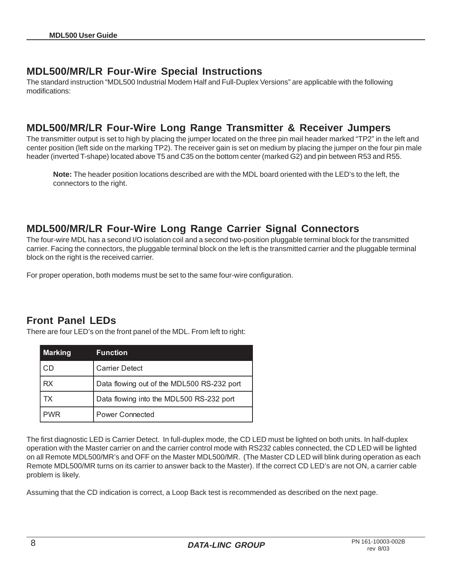#### **MDL500/MR/LR Four-Wire Special Instructions**

The standard instruction "MDL500 Industrial Modem Half and Full-Duplex Versions" are applicable with the following modifications:

#### **MDL500/MR/LR Four-Wire Long Range Transmitter & Receiver Jumpers**

The transmitter output is set to high by placing the jumper located on the three pin mail header marked "TP2" in the left and center position (left side on the marking TP2). The receiver gain is set on medium by placing the jumper on the four pin male header (inverted T-shape) located above T5 and C35 on the bottom center (marked G2) and pin between R53 and R55.

**Note:** The header position locations described are with the MDL board oriented with the LED's to the left, the connectors to the right.

#### **MDL500/MR/LR Four-Wire Long Range Carrier Signal Connectors**

The four-wire MDL has a second I/O isolation coil and a second two-position pluggable terminal block for the transmitted carrier. Facing the connectors, the pluggable terminal block on the left is the transmitted carrier and the pluggable terminal block on the right is the received carrier.

For proper operation, both modems must be set to the same four-wire configuration.

#### **Front Panel LEDs**

There are four LED's on the front panel of the MDL. From left to right:

| Marking    | <b>Function</b>                            |  |  |
|------------|--------------------------------------------|--|--|
| l CD       | <b>Carrier Detect</b>                      |  |  |
| 'RX        | Data flowing out of the MDL500 RS-232 port |  |  |
| ТX         | Data flowing into the MDL500 RS-232 port   |  |  |
| <b>PWR</b> | <b>Power Connected</b>                     |  |  |

The first diagnostic LED is Carrier Detect. In full-duplex mode, the CD LED must be lighted on both units. In half-duplex operation with the Master carrier on and the carrier control mode with RS232 cables connected, the CD LED will be lighted on all Remote MDL500/MR's and OFF on the Master MDL500/MR. (The Master CD LED will blink during operation as each Remote MDL500/MR turns on its carrier to answer back to the Master). If the correct CD LED's are not ON, a carrier cable problem is likely.

Assuming that the CD indication is correct, a Loop Back test is recommended as described on the next page.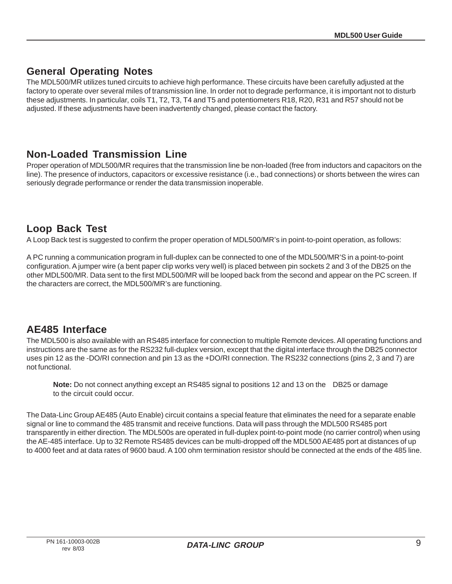#### **General Operating Notes**

The MDL500/MR utilizes tuned circuits to achieve high performance. These circuits have been carefully adjusted at the factory to operate over several miles of transmission line. In order not to degrade performance, it is important not to disturb these adjustments. In particular, coils T1, T2, T3, T4 and T5 and potentiometers R18, R20, R31 and R57 should not be adjusted. If these adjustments have been inadvertently changed, please contact the factory.

#### **Non-Loaded Transmission Line**

Proper operation of MDL500/MR requires that the transmission line be non-loaded (free from inductors and capacitors on the line). The presence of inductors, capacitors or excessive resistance (i.e., bad connections) or shorts between the wires can seriously degrade performance or render the data transmission inoperable.

#### **Loop Back Test**

A Loop Back test is suggested to confirm the proper operation of MDL500/MR's in point-to-point operation, as follows:

A PC running a communication program in full-duplex can be connected to one of the MDL500/MR'S in a point-to-point configuration. A jumper wire (a bent paper clip works very well) is placed between pin sockets 2 and 3 of the DB25 on the other MDL500/MR. Data sent to the first MDL500/MR will be looped back from the second and appear on the PC screen. If the characters are correct, the MDL500/MR's are functioning.

#### **AE485 Interface**

The MDL500 is also available with an RS485 interface for connection to multiple Remote devices. All operating functions and instructions are the same as for the RS232 full-duplex version, except that the digital interface through the DB25 connector uses pin 12 as the -DO/RI connection and pin 13 as the +DO/RI connection. The RS232 connections (pins 2, 3 and 7) are not functional.

**Note:** Do not connect anything except an RS485 signal to positions 12 and 13 on the DB25 or damage to the circuit could occur.

The Data-Linc Group AE485 (Auto Enable) circuit contains a special feature that eliminates the need for a separate enable signal or line to command the 485 transmit and receive functions. Data will pass through the MDL500 RS485 port transparently in either direction. The MDL500s are operated in full-duplex point-to-point mode (no carrier control) when using the AE-485 interface. Up to 32 Remote RS485 devices can be multi-dropped off the MDL500 AE485 port at distances of up to 4000 feet and at data rates of 9600 baud. A 100 ohm termination resistor should be connected at the ends of the 485 line.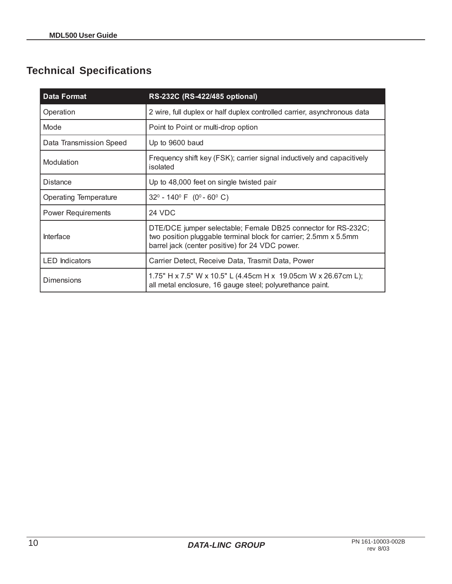# **Technical Specifications**

| Data Format               | RS-232C (RS-422/485 optional)                                                                                                                                                        |  |  |
|---------------------------|--------------------------------------------------------------------------------------------------------------------------------------------------------------------------------------|--|--|
| Operation                 | 2 wire, full duplex or half duplex controlled carrier, asynchronous data                                                                                                             |  |  |
| Mode                      | Point to Point or multi-drop option                                                                                                                                                  |  |  |
| Data Transmission Speed   | Up to 9600 baud                                                                                                                                                                      |  |  |
| Modulation                | Frequency shift key (FSK); carrier signal inductively and capacitively<br>isolated                                                                                                   |  |  |
| <b>Distance</b>           | Up to 48,000 feet on single twisted pair                                                                                                                                             |  |  |
| Operating Temperature     | $32^{\circ}$ - 140 $^{\circ}$ F (0 $^{\circ}$ - 60 $^{\circ}$ C)                                                                                                                     |  |  |
| <b>Power Requirements</b> | <b>24 VDC</b>                                                                                                                                                                        |  |  |
| Interface                 | DTE/DCE jumper selectable; Female DB25 connector for RS-232C;<br>two position pluggable terminal block for carrier; 2.5mm x 5.5mm<br>barrel jack (center positive) for 24 VDC power. |  |  |
| <b>LED</b> Indicators     | Carrier Detect, Receive Data, Trasmit Data, Power                                                                                                                                    |  |  |
| Dimensions                | 1.75" H x 7.5" W x 10.5" L (4.45cm H x 19.05cm W x 26.67cm L);<br>all metal enclosure, 16 gauge steel; polyurethance paint.                                                          |  |  |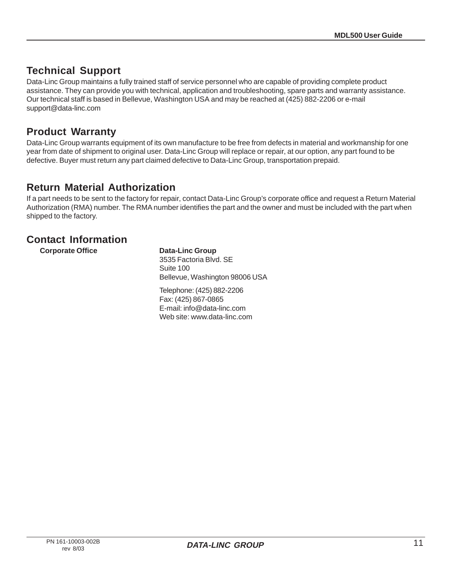#### **Technical Support**

Data-Linc Group maintains a fully trained staff of service personnel who are capable of providing complete product assistance. They can provide you with technical, application and troubleshooting, spare parts and warranty assistance. Our technical staff is based in Bellevue, Washington USA and may be reached at (425) 882-2206 or e-mail support@data-linc.com

#### **Product Warranty**

Data-Linc Group warrants equipment of its own manufacture to be free from defects in material and workmanship for one year from date of shipment to original user. Data-Linc Group will replace or repair, at our option, any part found to be defective. Buyer must return any part claimed defective to Data-Linc Group, transportation prepaid.

#### **Return Material Authorization**

If a part needs to be sent to the factory for repair, contact Data-Linc Group's corporate office and request a Return Material Authorization (RMA) number. The RMA number identifies the part and the owner and must be included with the part when shipped to the factory.

#### **Contact Information**

**Corporate Office Corporate Data-Linc Group** 

3535 Factoria Blvd. SE Suite 100 Bellevue, Washington 98006 USA

Telephone: (425) 882-2206 Fax: (425) 867-0865 E-mail: info@data-linc.com Web site: www.data-linc.com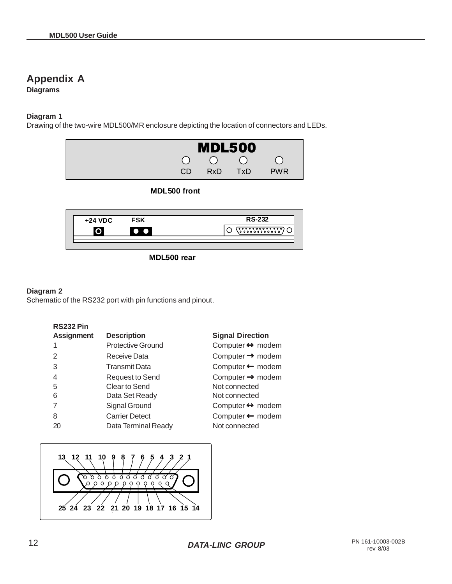## **Appendix A**

**Diagrams**

#### **Diagram 1**

Drawing of the two-wire MDL500/MR enclosure depicting the location of connectors and LEDs.



#### **MDL500 front**

| $+24$ VDC | <b>FSK</b> | <b>RS-232</b> |
|-----------|------------|---------------|
|           |            |               |
|           |            |               |

**MDL500 rear**

#### **Diagram 2**

Schematic of the RS232 port with pin functions and pinout.

| <b>Assignment</b> | <b>Description</b>       | <b>Signal Direction</b>          |
|-------------------|--------------------------|----------------------------------|
| 1                 | <b>Protective Ground</b> | Computer $\leftrightarrow$ modem |
| $\overline{2}$    | Receive Data             | Computer $\rightarrow$ modem     |
| 3                 | <b>Transmit Data</b>     | Computer ← modem                 |
| 4                 | <b>Request to Send</b>   | Computer $\rightarrow$ modem     |
| 5                 | Clear to Send            | Not connected                    |
| 6                 | Data Set Ready           | Not connected                    |
| 7                 | Signal Ground            | Computer $\leftrightarrow$ modem |
| 8                 | <b>Carrier Detect</b>    | Computer ← modem                 |
| 20                | Data Terminal Ready      | Not connected                    |
|                   |                          |                                  |